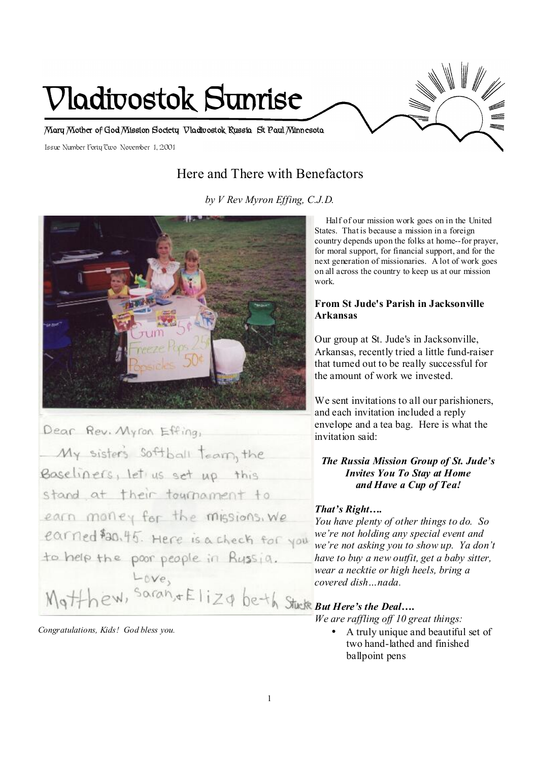

## Here and There with Benefactors

*by V Rev Myron Effing, C.J.D.* 



Dear Rev. Myron Effing, My sister's softball team, the Baseliners, let us set up this stand at their tournament to earn money for the missions, we earned \$20.45. Here is a check for you to help the poor people in Bussia.  $-6Ve$ *But Here's the Deal….* 

*Congratulations, Kids! God bless you.* 

 Half of our mission work goes on in the United States. That is because a mission in a foreign country depends upon the folks at home--for prayer, for moral support, for financial support, and for the next generation of missionaries. A lot of work goes on all across the country to keep us at our mission work.

## **From St Jude's Parish in Jacksonville Arkansas**

Our group at St. Jude's in Jacksonville, Arkansas, recently tried a little fund-raiser that turned out to be really successful for the amount of work we invested.

We sent invitations to all our parishioners, and each invitation included a reply envelope and a tea bag. Here is what the invitation said:

## *The Russia Mission Group of St. Jude's Invites You To Stay at Home and Have a Cup of Tea!*

## *That's Right….*

*You have plenty of other things to do. So we're not holding any special event and we're not asking you to show up. Ya don't have to buy a new outfit, get a baby sitter, wear a necktie or high heels, bring a covered dish…nada.* 

*We are raffling of 10 great things:* 

• A truly unique and beautiful set of two hand-lathed and finished ballpoint pens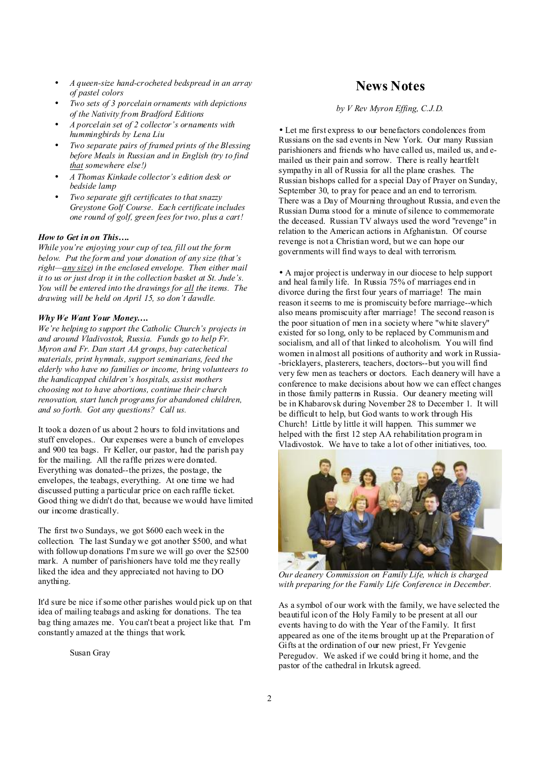- *A queen-size hand-crocheted bedspread in an array of pastel colors*
- *Two sets of 3 porcelain ornaments with depictions of the Nativity from Bradford Editions*
- *A porcelain set of 2 collector's ornaments with hummingbirds by Lena Liu*
- *Two separate pairs of framed prints of the Blessing before Meals in Russian and in English (try to find that somewhere else!)*
- *A Thomas Kinkade collector's edition desk or bedside lamp*
- *Two separate gift certificates to that snazzy Greystone Golf Course. Each certificate includes one round of golf, green fees for two, plus a cart!*

#### *How to Get in on This….*

*While you're enjoying your cup of tea, fill out the form below. Put the form and your donation of any size (that's right—any size) in the enclosed envelope. Then either mail it to us or just drop it in the collection basket at St. Jude's. You will be entered into the drawings for all the items. The drawing will be held on April 15, so don't dawdle.* 

#### *Why We Want Your Money….*

*We're helping to support the Catholic Church's projects in and around Vladivostok, Russia. Funds go to help Fr. Myron and Fr. Dan start AA groups, buy catechetical materials, print hymnals, support seminarians, feed the elderly who have no families or income, bring volunteers to the handicapped children's hospitals, assist mothers choosing not to have abortions, continue their church renovation, start lunch programs for abandoned children, and so forth. Got any questions? Call us.* 

It took a dozen of us about 2 hours to fold invitations and stuff envelopes.. Our expenses were a bunch of envelopes and 900 tea bags. Fr Keller, our pastor, had the parish pay for the mailing. All the raffle prizes were donated. Everything was donated--the prizes, the postage, the envelopes, the teabags, everything. At one time we had discussed putting a particular price on each raffle ticket. Good thing we didn't do that, because we would have limited our income drastically.

The first two Sundays, we got \$600 each week in the collection. The last Sunday we got another \$500, and what with followup donations I'm sure we will go over the \$2500 mark. A number of parishioners have told me they really liked the idea and they appreciated not having to DO anything.

It'd sure be nice if some other parishes would pick up on that idea of mailing teabags and asking for donations. The tea bag thing amazes me. You can't beat a project like that. I'm constantly amazed at the things that work.

Susan Gray

## **News Notes**

#### *by V Rev Myron Effing, C.J.D.*

• Let me first express to our benefactors condolences from Russians on the sad events in New York. Our many Russian parishioners and friends who have called us, mailed us, and emailed us their pain and sorrow. There is really heartfelt sympathy in all of Russia for all the plane crashes. The Russian bishops called for a special Day of Prayer on Sunday, September 30, to pray for peace and an end to terrorism. There was a Day of Mourning throughout Russia, and even the Russian Duma stood for a minute ofsilence to commemorate the deceased. Russian TV always used the word "revenge" in relation to the American actions in Afghanistan. Of course revenge is not a Christian word, but we can hope our governments will find ways to deal with terrorism.

• A major project is underway in our diocese to help support and heal family life. In Russia 75% of marriages end in divorce during the first four years of marriage! The main reason itseems to me is promiscuity before marriage--which also means promiscuity after marriage! The second reason is the poor situation of men in a society where "white slavery" existed for so long, only to be replaced by Communism and socialism, and all of that linked to alcoholism. You will find women in almost all positions of authority and work in Russia- -bricklayers, plasterers, teachers, doctors--but you will find very few men as teachers or doctors. Each deanery will have a conference to make decisions about how we can effect changes in those family patterns in Russia. Our deanery meeting will be in Khabarovsk during November 28 to December 1. It will be difficult to help, but God wants to work through His Church! Little by little it will happen. This summer we helped with the first 12 step AA rehabilitation program in Vladivostok. We have to take a lot of other initiatives, too.



*Our deanery Commission on Family Life, which is charged with preparing for the Family Life Conference in December.* 

As a symbol of our work with the family, we have selected the beautiful icon of the Holy Family to be present at all our events having to do with the Year of the Family. It first appeared as one of the items brought up at the Preparation of Gifts at the ordination of our new priest, Fr Yevgenie Peregudov. We asked if we could bring it home, and the pastor of the cathedral in Irkutsk agreed.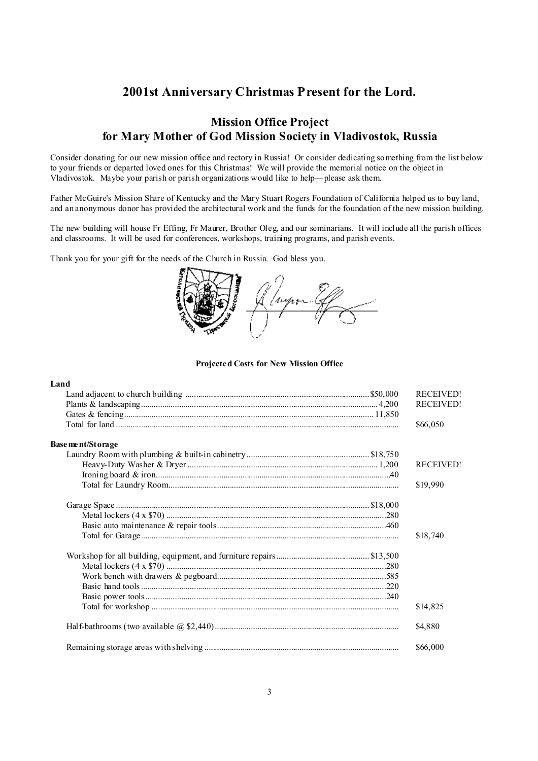## **2001st Anniversary Christmas Present for the Lord.**

## **Mission Office Project for Mary Mother of God Mission Society in Vladivostok, Russia**

Consider donating for our new mission office and rectory in Russia! Or consider dedicating something from the list below to your friends or departed loved ones for this Christmas! We will provide the memorial notice on the object in Vladivostok. Maybe your parish or parish organizations would like to help—please ask them.

Father McGuire's Mission Share of Kentucky and the Mary Stuart Rogers Foundation of California helped us to buy land, and an anonymous donor has provided the architectural work and the funds for the foundation of the new mission building.

The new building will house Fr Effing, Fr Maurer, Brother Oleg, and our seminarians. It will include all the parish offices and classrooms. It will be used for conferences, workshops, training programs, and parish events.

Thank you for your gift for the needs of the Church in Russia. God bless you.



#### **Projected Costs for New Mission Office**

#### **Land**

|                   | <b>RECEIVED!</b> |
|-------------------|------------------|
|                   | <b>RECEIVED!</b> |
|                   |                  |
|                   | \$66,050         |
| Base ment/Storage |                  |
|                   |                  |
|                   | <b>RECEIVED!</b> |
|                   |                  |
|                   | \$19,990         |
|                   |                  |
|                   |                  |
|                   |                  |
|                   | \$18,740         |
|                   |                  |
|                   |                  |
|                   |                  |
|                   |                  |
|                   |                  |
|                   | \$14,825         |
|                   | \$4,880          |
|                   | \$66,000         |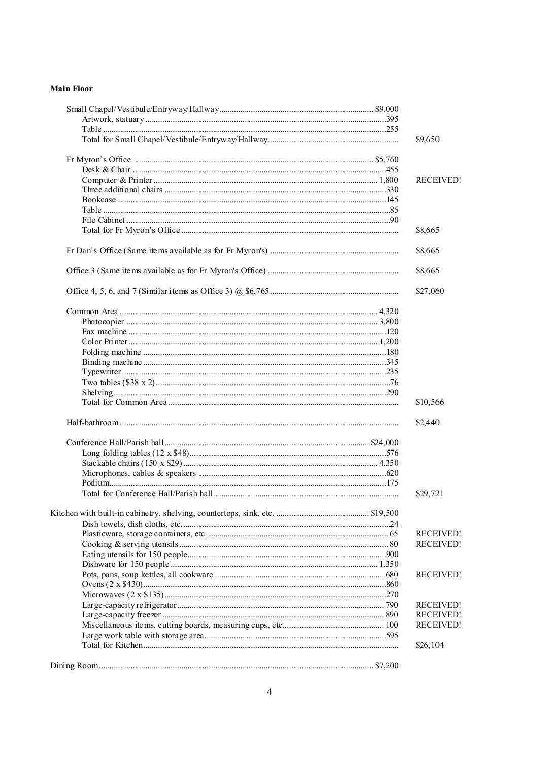#### **Main Floor**

|  | \$9,650          |
|--|------------------|
|  |                  |
|  |                  |
|  | <b>RECEIVED!</b> |
|  |                  |
|  |                  |
|  |                  |
|  |                  |
|  | \$8,665          |
|  | \$8,665          |
|  | \$8,665          |
|  | \$27,060         |
|  |                  |
|  |                  |
|  |                  |
|  |                  |
|  |                  |
|  |                  |
|  |                  |
|  |                  |
|  |                  |
|  | \$10,566         |
|  | \$2,440          |
|  |                  |
|  |                  |
|  |                  |
|  |                  |
|  |                  |
|  | \$29,721         |
|  |                  |
|  |                  |
|  | <b>RECEIVED!</b> |
|  | <b>RECEIVED!</b> |
|  |                  |
|  |                  |
|  | <b>RECEIVED!</b> |
|  |                  |
|  |                  |
|  | <b>RECEIVED!</b> |
|  | <b>RECEIVED!</b> |
|  | <b>RECEIVED!</b> |
|  |                  |
|  | \$26,104         |
|  |                  |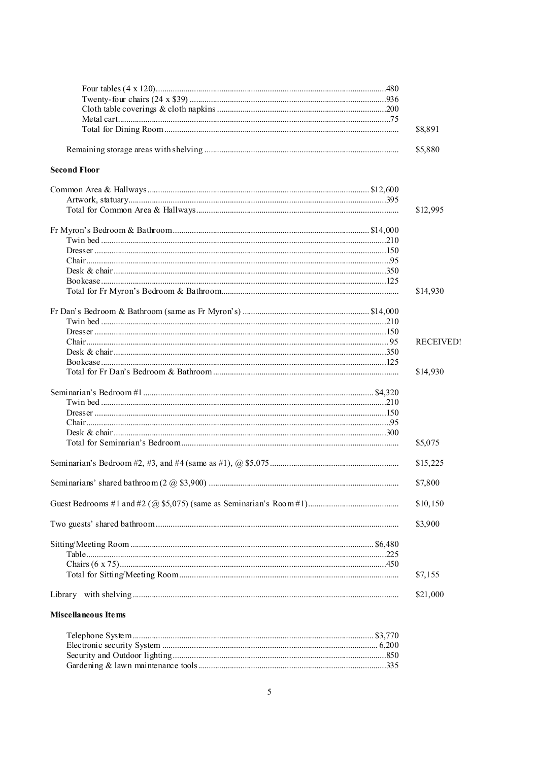|                     | \$8,891          |
|---------------------|------------------|
|                     | \$5,880          |
| <b>Second Floor</b> |                  |
|                     |                  |
|                     |                  |
|                     | \$12,995         |
|                     |                  |
|                     |                  |
|                     |                  |
|                     |                  |
|                     |                  |
|                     |                  |
|                     | \$14,930         |
|                     |                  |
|                     |                  |
|                     |                  |
|                     | <b>RECEIVED!</b> |
|                     |                  |
|                     |                  |
|                     | \$14,930         |
|                     |                  |
|                     |                  |
|                     |                  |
|                     |                  |
|                     |                  |
|                     |                  |
|                     | \$5,075          |
|                     | \$15,225         |
|                     |                  |
|                     | \$7,800          |
|                     | \$10,150         |
|                     | \$3,900          |
|                     |                  |
|                     |                  |
|                     |                  |
|                     | \$7,155          |
|                     | \$21,000         |
| Miscellaneous Items |                  |

#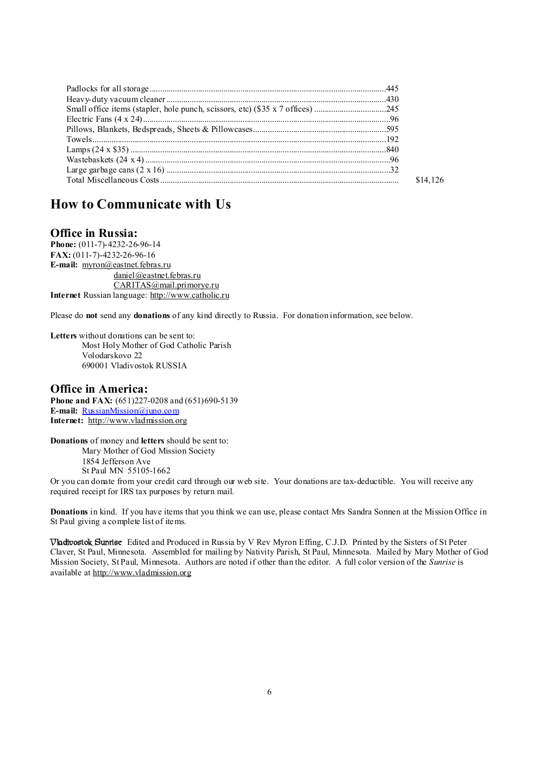|  | \$14,126 |
|--|----------|
|  |          |

## **How to Communicate with Us**

## **Office in Russia:**

**Phone:** (011-7)-4232-26-96-14 **FAX:** (011-7)-4232-26-96-16 **E-mail:** [myron@eastnet.febras.ru](mailto:myron@eastnet.febras.ru) [daniel@eastnet.febras.ru](mailto:daniel@eastnet.febras.ru) [CARITAS@mail.primorye.ru](mailto:CARITAS@mail.primorye.ru) **Internet** Russian language: <http://www.catholic.ru>

Please do **not** send any **donations** of any kind directly to Russia. For donation information, see below.

**Letters** without donations can be sent to: Most Holy Mother of God Catholic Parish Volodarskovo 22 690001 Vladivostok RUSSIA

### **Office in America:**

**Phone and FAX:** (651)227-0208 and (651)690-5139 **E-mail:** [RussianMission@juno.com](mailto:RussianMission@juno.com) **Internet:** <http://www.vladmission.org>

**Donations** of money and **letters** should be sent to: Mary Mother of God Mission Society 1854 Jefferson Ave

St Paul MN 55105-1662

Or you can donate from your credit card through our web site. Your donations are tax-deductible. You will receive any required receipt for IRS tax purposes by return mail.

**Donations** in kind. If you have items that you think we can use, please contact Mrs Sandra Sonnen at the Mission Office in St Paul giving a complete list of items.

**Vladivostok Sunrise** Edited and Produced in Russia by V Rev Myron Effing, C.J.D. Printed by the Sisters of St Peter Claver, St Paul, Minnesota. Assembled for mailing by Nativity Parish, St Paul, Minnesota. Mailed by Mary Mother of God Mission Society, St Paul, Minnesota. Authors are noted if other than the editor. A full color version of the *Sunrise* is available at <http://www.vladmission.org>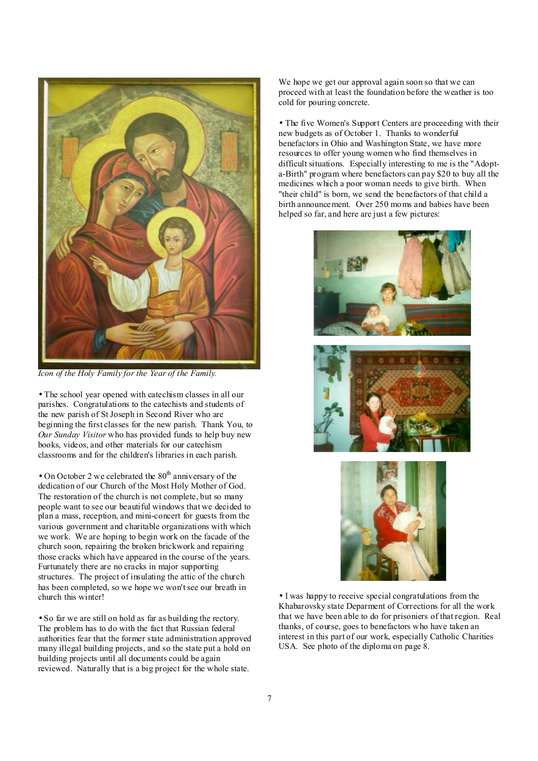

*Icon of the Holy Family for the Year of the Family.* 

• The school year opened with catechism classes in all our parishes. Congratulations to the catechists and students of the new parish of St Joseph in Second River who are beginning the first classes for the new parish. Thank You, to *Our Sunday Visitor* who has provided funds to help buy new books, videos, and other materials for our catechism classrooms and for the children's libraries in each parish.

• On October 2 we celebrated the  $80<sup>th</sup>$  anniversary of the dedication of our Church of the Most Holy Mother of God. The restoration of the church is not complete, but so many people want to see our beautiful windows that we decided to plan a mass, reception, and mini-concert for guests from the various government and charitable organizations with which we work. We are hoping to begin work on the facade of the church soon, repairing the broken brickwork and repairing those cracks which have appeared in the course of the years. Furtunately there are no cracks in major supporting structures. The project of insulating the attic of the church has been completed, so we hope we won't see our breath in church this winter!

• So far we are still on hold as far as building the rectory. The problem has to do with the fact that Russian federal authorities fear that the former state administration approved many illegal building projects, and so the state put a hold on building projects until all documents could be again reviewed. Naturally that is a big project for the whole state.

We hope we get our approval again soon so that we can proceed with at least the foundation before the weather is too cold for pouring concrete.

• The five Women's Support Centers are proceeding with their new budgets as of October 1. Thanks to wonderful benefactors in Ohio and Washington State, we have more resources to offer young women who find themselves in difficult situations. Especially interesting to me is the "Adopta-Birth" program where benefactors can pay \$20 to buy all the medicines which a poor woman needs to give birth. When "their child" is born, we send the benefactors of that child a birth announcement. Over 250 moms and babies have been helped so far, and here are just a few pictures:



• I was happy to receive special congratulations from the Khabarovsky state Deparment of Corrections for all the work that we have been able to do for prisoniers of that region. Real thanks, of course, goes to benefactors who have taken an interest in this part of our work, especially Catholic Charities USA. See photo of the diploma on page 8.